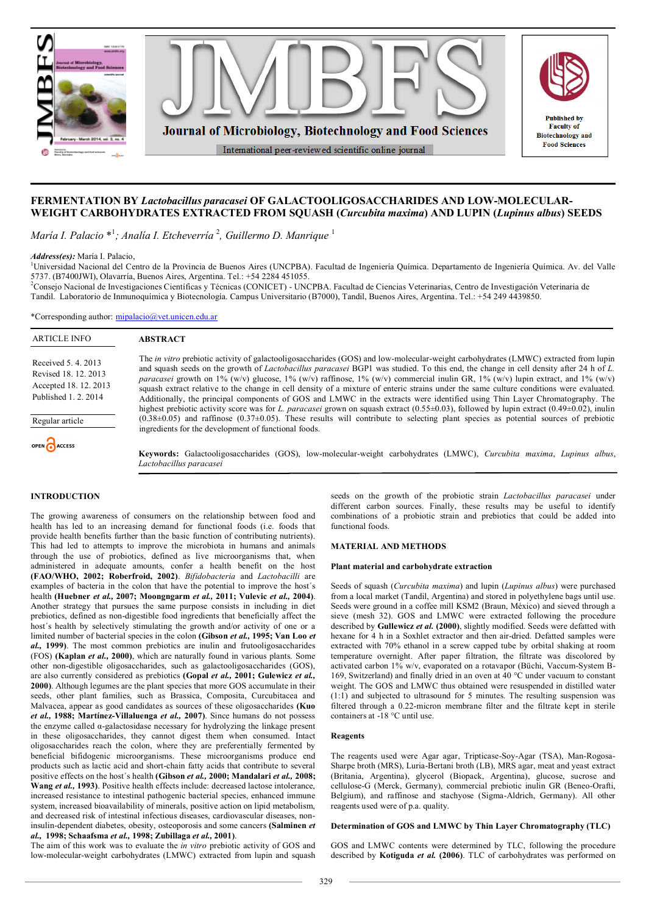

# **FERMENTATION BY** *Lactobacillus paracasei* **OF GALACTOOLIGOSACCHARIDES AND LOW-MOLECULAR-WEIGHT CARBOHYDRATES EXTRACTED FROM SQUASH (***Curcubita maxima***) AND LUPIN (***Lupinus albus***) SEEDS**

*María I. Palacio* \* 1 *; Analía I. Etcheverría* <sup>2</sup> *, Guillermo D. Manrique* <sup>1</sup>

*Address(es):* María I. Palacio,

1Universidad Nacional del Centro de la Provincia de Buenos Aires (UNCPBA). Facultad de Ingeniería Química. Departamento de Ingeniería Química. Av. del Valle 5737. (B7400JWI), Olavarría, Buenos Aires, Argentina. Tel.: +54 2284 451055.

<sup>2</sup>Consejo Nacional de Investigaciones Científicas y Técnicas (CONICET) - UNCPBA. Facultad de Ciencias Veterinarias, Centro de Investigación Veterinaria de Tandil. Laboratorio de Inmunoquímica y Biotecnología. Campus Universitario (B7000), Tandil, Buenos Aires, Argentina. Tel.: +54 249 4439850.

\*Corresponding author: mipalacio@vet.unicen.edu.ar

| <b>ARTICLE INFO</b>                                                                          | <b>ABSTRACT</b>                                                                                                                                                                                                                                                                                                                                                                                                                                                                                                                                                                                                                                                                                                                                                                                                                                         |
|----------------------------------------------------------------------------------------------|---------------------------------------------------------------------------------------------------------------------------------------------------------------------------------------------------------------------------------------------------------------------------------------------------------------------------------------------------------------------------------------------------------------------------------------------------------------------------------------------------------------------------------------------------------------------------------------------------------------------------------------------------------------------------------------------------------------------------------------------------------------------------------------------------------------------------------------------------------|
| Received 5, 4, 2013<br>Revised 18, 12, 2013<br>Accepted 18, 12, 2013<br>Published 1, 2, 2014 | The <i>in vitro</i> prebiotic activity of galactooligosaccharides (GOS) and low-molecular-weight carbohydrates (LMWC) extracted from lupin<br>and squash seeds on the growth of <i>Lactobacillus paracasei</i> BGP1 was studied. To this end, the change in cell density after 24 h of L.<br><i>paracasei</i> growth on 1% (w/v) glucose, 1% (w/v) raffinose, 1% (w/v) commercial inulin GR, 1% (w/v) lupin extract, and 1% (w/v)<br>squash extract relative to the change in cell density of a mixture of enteric strains under the same culture conditions were evaluated.<br>Additionally, the principal components of GOS and LMWC in the extracts were identified using Thin Layer Chromatography. The<br>highest prebiotic activity score was for L. paracasei grown on squash extract (0.55±0.03), followed by lupin extract (0.49±0.02), inulin |
| Regular article                                                                              | $(0.38\pm0.05)$ and raffinose $(0.37\pm0.05)$ . These results will contribute to selecting plant species as potential sources of prebiotic<br>ingredients for the development of functional foods.                                                                                                                                                                                                                                                                                                                                                                                                                                                                                                                                                                                                                                                      |

**Keywords:** Galactooligosaccharides (GOS), low-molecular-weight carbohydrates (LMWC), *Curcubita maxima*, *Lupinus albus*, *Lactobacillus paracasei*

#### **INTRODUCTION**

OPEN CACCESS

The growing awareness of consumers on the relationship between food and health has led to an increasing demand for functional foods (i.e. foods that provide health benefits further than the basic function of contributing nutrients). This had led to attempts to improve the microbiota in humans and animals through the use of probiotics, defined as live microorganisms that, when administered in adequate amounts, confer a health benefit on the host **(FAO/WHO, 2002; Roberfroid, 2002)**. *Bifidobacteria* and *Lactobacilli* are examples of bacteria in the colon that have the potential to improve the host´s health **(Huebner** *et al.,* **2007; Moongngarm** *et al.,* **2011; Vulevic** *et al.,* **2004)**. Another strategy that pursues the same purpose consists in including in diet prebiotics, defined as non-digestible food ingredients that beneficially affect the host´s health by selectively stimulating the growth and/or activity of one or a limited number of bacterial species in the colon **(Gibson** *et al.,* **1995; Van Loo** *et al.,* **1999)**. The most common prebiotics are inulin and frutooligosaccharides (FOS) **(Kaplan** *et al.,* **2000)**, which are naturally found in various plants. Some other non-digestible oligosaccharides, such as galactooligosaccharides (GOS), are also currently considered as prebiotics **(Gopal** *et al.,* **2001; Gulewicz** *et al.,* **2000)**. Although legumes are the plant species that more GOS accumulate in their seeds, other plant families, such as Brassica, Composita, Curcubitacea and Malvacea, appear as good candidates as sources of these oligosaccharides **(Kuo** *et al.,* **1988; Martínez-Villaluenga** *et al.,* **2007)**. Since humans do not possess the enzyme called α-galactosidase necessary for hydrolyzing the linkage present in these oligosaccharides, they cannot digest them when consumed. Intact oligosaccharides reach the colon, where they are preferentially fermented by beneficial bifidogenic microorganisms. These microorganisms produce end products such as lactic acid and short-chain fatty acids that contribute to several positive effects on the host´s health **(Gibson** *et al.,* **2000; Mandalari** *et al.,* **2008; Wang** *et al.,* **1993)**. Positive health effects include: decreased lactose intolerance, increased resistance to intestinal pathogenic bacterial species, enhanced immune system, increased bioavailability of minerals, positive action on lipid metabolism, and decreased risk of intestinal infectious diseases, cardiovascular diseases, noninsulin-dependent diabetes, obesity, osteoporosis and some cancers **(Salminen** *et al.,* **1998; Schaafsma** *et al.,* **1998; Zubillaga** *et al.,* **2001)**.

The aim of this work was to evaluate the *in vitro* prebiotic activity of GOS and low-molecular-weight carbohydrates (LMWC) extracted from lupin and squash

seeds on the growth of the probiotic strain *Lactobacillus paracasei* under different carbon sources. Finally, these results may be useful to identify combinations of a probiotic strain and prebiotics that could be added into functional foods.

# **MATERIAL AND METHODS**

#### **Plant material and carbohydrate extraction**

Seeds of squash (*Curcubita maxima*) and lupin (*Lupinus albus*) were purchased from a local market (Tandil, Argentina) and stored in polyethylene bags until use. Seeds were ground in a coffee mill KSM2 (Braun, México) and sieved through a sieve (mesh 32). GOS and LMWC were extracted following the procedure described by **Gullewicz** *et al.* **(2000)**, slightly modified. Seeds were defatted with hexane for 4 h in a Soxhlet extractor and then air-dried. Defatted samples were extracted with 70% ethanol in a screw capped tube by orbital shaking at room temperature overnight. After paper filtration, the filtrate was discolored by activated carbon 1% w/v, evaporated on a rotavapor (Büchi, Vaccum-System B-169, Switzerland) and finally dried in an oven at 40 °C under vacuum to constant weight. The GOS and LMWC thus obtained were resuspended in distilled water (1:1) and subjected to ultrasound for 5 minutes. The resulting suspension was filtered through a 0.22-micron membrane filter and the filtrate kept in sterile containers at -18 °C until use.

### **Reagents**

The reagents used were Agar agar, Tripticase-Soy-Agar (TSA), Man-Rogosa-Sharpe broth (MRS), Luria-Bertani broth (LB), MRS agar, meat and yeast extract (Britania, Argentina), glycerol (Biopack, Argentina), glucose, sucrose and cellulose-G (Merck, Germany), commercial prebiotic inulin GR (Beneo-Orafti, Belgium), and raffinose and stachyose (Sigma-Aldrich, Germany). All other reagents used were of p.a. quality.

## **Determination of GOS and LMWC by Thin Layer Chromatography (TLC)**

GOS and LMWC contents were determined by TLC, following the procedure described by **Kotiguda** *et al.* **(2006)**. TLC of carbohydrates was performed on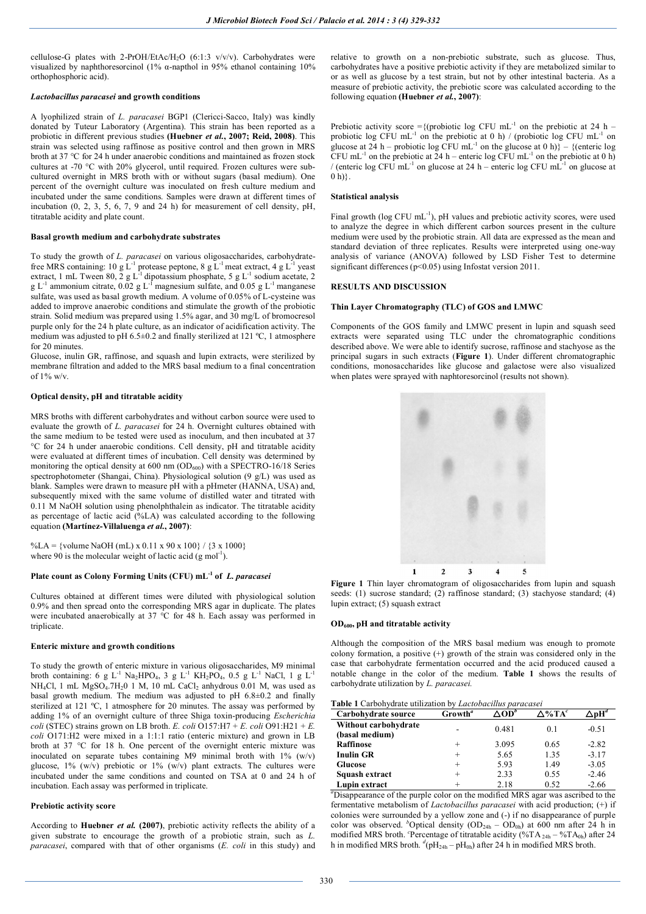cellulose-G plates with 2-PrOH/EtAc/H<sub>2</sub>O (6:1:3  $v/v/v$ ). Carbohydrates were visualized by naphthoresorcinol (1% α-napthol in 95% ethanol containing 10% orthophosphoric acid).

## *Lactobacillus paracasei* **and growth conditions**

A lyophilized strain of *L. paracasei* BGP1 (Clericci-Sacco, Italy) was kindly donated by Tuteur Laboratory (Argentina). This strain has been reported as a probiotic in different previous studies **(Huebner** *et al.***, 2007; Reid, 2008)**. This strain was selected using raffinose as positive control and then grown in MRS broth at 37 °C for 24 h under anaerobic conditions and maintained as frozen stock cultures at -70 °C with 20% glycerol, until required. Frozen cultures were subcultured overnight in MRS broth with or without sugars (basal medium). One percent of the overnight culture was inoculated on fresh culture medium and incubated under the same conditions. Samples were drawn at different times of incubation (0, 2, 3, 5, 6, 7, 9 and 24 h) for measurement of cell density, pH, titratable acidity and plate count.

#### **Basal growth medium and carbohydrate substrates**

To study the growth of *L. paracasei* on various oligosaccharides, carbohydratefree MRS containing: 10 g  $L^{-1}$  protease peptone, 8 g  $L^{-1}$  meat extract, 4 g  $L^{-1}$  yeast extract, 1 mL Tween 80, 2 g L<sup>-1</sup> dipotassium phosphate, 5 g L<sup>-1</sup> sodium acetate, 2 g L<sup>-1</sup> ammonium citrate, 0.02 g L<sup>-1</sup> magnesium sulfate, and 0.05 g L<sup>-1</sup> manganese sulfate, was used as basal growth medium. A volume of 0.05% of L-cysteine was added to improve anaerobic conditions and stimulate the growth of the probiotic strain. Solid medium was prepared using 1.5% agar, and 30 mg/L of bromocresol purple only for the 24 h plate culture, as an indicator of acidification activity. The medium was adjusted to pH 6.5±0.2 and finally sterilized at 121 ºC, 1 atmosphere for 20 minutes.

Glucose, inulin GR, raffinose, and squash and lupin extracts, were sterilized by membrane filtration and added to the MRS basal medium to a final concentration of  $1\%$  w/v.

# **Optical density, pH and titratable acidity**

MRS broths with different carbohydrates and without carbon source were used to evaluate the growth of *L. paracasei* for 24 h. Overnight cultures obtained with the same medium to be tested were used as inoculum, and then incubated at 37 °C for 24 h under anaerobic conditions. Cell density, pH and titratable acidity were evaluated at different times of incubation. Cell density was determined by monitoring the optical density at  $600 \text{ nm}$  (OD<sub>600</sub>) with a SPECTRO-16/18 Series spectrophotometer (Shangai, China). Physiological solution (9 g/L) was used as blank. Samples were drawn to measure pH with a pHmeter (HANNA, USA) and, subsequently mixed with the same volume of distilled water and titrated with 0.11 M NaOH solution using phenolphthalein as indicator. The titratable acidity as percentage of lactic acid (%LA) was calculated according to the following equation **(Martínez-Villaluenga** *et al.***, 2007)**:

%LA = {volume NaOH (mL) x 0.11 x 90 x 100} / {3 x 1000} where 90 is the molecular weight of lactic acid  $(g \text{ mol}^{-1})$ .

### **Plate count as Colony Forming Units (CFU) mL-1 of** *L. paracasei*

Cultures obtained at different times were diluted with physiological solution 0.9% and then spread onto the corresponding MRS agar in duplicate. The plates were incubated anaerobically at 37 °C for 48 h. Each assay was performed in triplicate.

### **Enteric mixture and growth conditions**

To study the growth of enteric mixture in various oligosaccharides, M9 minimal broth containing: 6 g L<sup>-1</sup> Na<sub>2</sub>HPO<sub>4</sub>, 3 g L<sup>-1</sup> KH<sub>2</sub>PO<sub>4</sub>, 0.5 g L<sup>-1</sup> NaCl, 1 g L<sup>-1</sup> NH<sub>4</sub>Cl, 1 mL MgSO<sub>4</sub>.7H<sub>2</sub>0 1 M, 10 mL CaCl<sub>2</sub> anhydrous 0.01 M, was used as basal growth medium. The medium was adjusted to pH 6.8±0.2 and finally sterilized at 121 ºC, 1 atmosphere for 20 minutes. The assay was performed by adding 1% of an overnight culture of three Shiga toxin-producing *Escherichia coli* (STEC) strains grown on LB broth. *E. coli*  $\overline{O157:H7 + E}$ . *coli*  $\overline{O91:H21 + E}$ . *coli* O171:H2 were mixed in a 1:1:1 ratio (enteric mixture) and grown in LB broth at 37 °C for 18 h. One percent of the overnight enteric mixture was inoculated on separate tubes containing M9 minimal broth with  $1\%$  (w/v) glucose,  $1\%$  (w/v) prebiotic or  $1\%$  (w/v) plant extracts. The cultures were incubated under the same conditions and counted on TSA at 0 and 24 h of incubation. Each assay was performed in triplicate.

#### **Prebiotic activity score**

According to **Huebner** *et al.* **(2007)**, prebiotic activity reflects the ability of a given substrate to encourage the growth of a probiotic strain, such as *L. paracasei*, compared with that of other organisms (*E. coli* in this study) and

relative to growth on a non-prebiotic substrate, such as glucose. Thus, carbohydrates have a positive prebiotic activity if they are metabolized similar to or as well as glucose by a test strain, but not by other intestinal bacteria. As a measure of prebiotic activity, the prebiotic score was calculated according to the following equation **(Huebner** *et al.***, 2007)**:

Prebiotic activity score = {(probiotic log CFU mL<sup>-1</sup> on the prebiotic at 24 h – probiotic log CFU mL<sup>-1</sup> on the prebiotic at 0 h) / (probiotic log CFU mL<sup>-1</sup> on glucose at 24 h – probiotic log CFU mL<sup>-1</sup> on the glucose at 0 h) $\}$  – {(enteric log CFU mL<sup>-1</sup> on the prebiotic at 24 h – enteric log CFU mL<sup>-1</sup> on the prebiotic at 0 h) / (enteric log CFU mL<sup>-1</sup> on glucose at 24 h – enteric log CFU mL<sup>-1</sup> on glucose at  $0 h$  $\}.$ 

### **Statistical analysis**

Final growth (log CFU mL<sup>-1</sup>), pH values and prebiotic activity scores, were used to analyze the degree in which different carbon sources present in the culture medium were used by the probiotic strain. All data are expressed as the mean and standard deviation of three replicates. Results were interpreted using one-way analysis of variance (ANOVA) followed by LSD Fisher Test to determine significant differences (p<0.05) using Infostat version 2011.

#### **RESULTS AND DISCUSSION**

#### **Thin Layer Chromatography (TLC) of GOS and LMWC**

Components of the GOS family and LMWC present in lupin and squash seed extracts were separated using TLC under the chromatographic conditions described above. We were able to identify sucrose, raffinose and stachyose as the principal sugars in such extracts (**Figure 1**). Under different chromatographic conditions, monosaccharides like glucose and galactose were also visualized when plates were sprayed with naphtoresorcinol (results not shown).



**Figure 1** Thin layer chromatogram of oligosaccharides from lupin and squash seeds: (1) sucrose standard; (2) raffinose standard; (3) stachyose standard; (4) lupin extract; (5) squash extract

#### **OD600, pH and titratable activity**

Although the composition of the MRS basal medium was enough to promote colony formation, a positive (+) growth of the strain was considered only in the case that carbohydrate fermentation occurred and the acid produced caused a notable change in the color of the medium. **Table 1** shows the results of carbohydrate utilization by *L. paracasei.*

#### **Table 1** Carbohydrate utilization by *Lactobacillus paracasei*

| Carbohydrate source  | Growth <sup>a</sup> | .OD"  | $\Delta$ %TA $^c$ | $\cdot$ pH <sup>a</sup> |  |
|----------------------|---------------------|-------|-------------------|-------------------------|--|
| Without carbohydrate |                     | 0.481 | 0.1               | $-0.51$                 |  |
| (basal medium)       | -                   |       |                   |                         |  |
| <b>Raffinose</b>     |                     | 3.095 | 0.65              | $-2.82$                 |  |
| <b>Inulin GR</b>     |                     | 5.65  | 1.35              | $-3.17$                 |  |
| <b>Glucose</b>       |                     | 5.93  | 1.49              | $-3.05$                 |  |
| Squash extract       |                     | 2.33  | 0.55              | $-2.46$                 |  |
| Lupin extract        |                     | 2.18  | 0.52              | $-2.66$                 |  |

*<sup>a</sup>*Disappearance of the purple color on the modified MRS agar was ascribed to the fermentative metabolism of *Lactobacillus paracasei* with acid production; (+) if colonies were surrounded by a yellow zone and (-) if no disappearance of purple color was observed. <sup>*b*</sup>Optical density (OD<sub>24h</sub> – OD<sub>0h</sub>) at 600 nm after 24 h in modified MRS broth. <sup>c</sup>Percentage of titratable acidity (%TA<sub>24h</sub> – %TA<sub>0h</sub>) after 24 h in modified MRS broth.  $d(pH_{24h} - pH_{0h})$  after 24 h in modified MRS broth.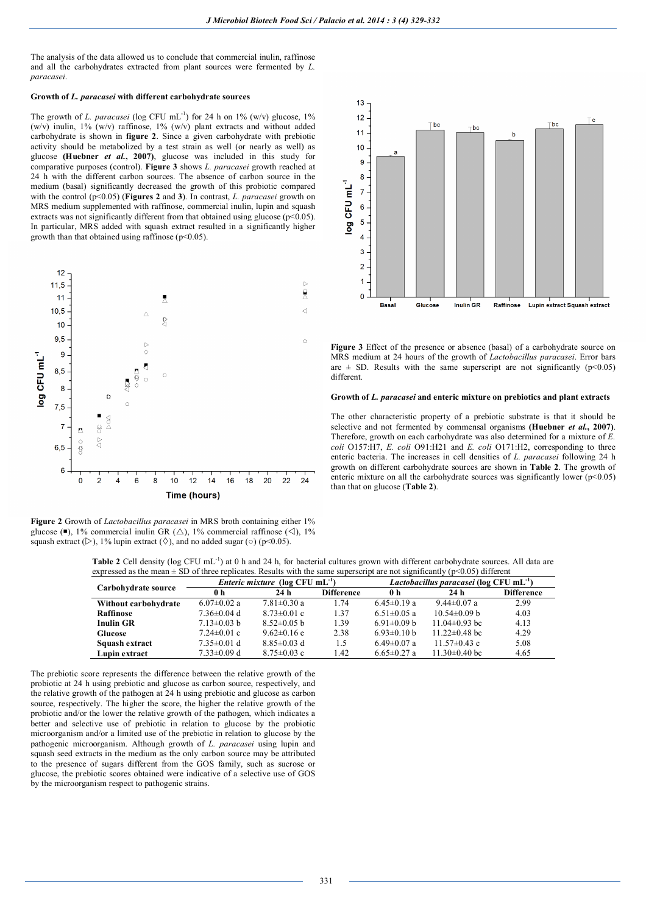The analysis of the data allowed us to conclude that commercial inulin, raffinose and all the carbohydrates extracted from plant sources were fermented by *L. paracasei*.

# **Growth of** *L. paracasei* **with different carbohydrate sources**

The growth of *L. paracasei* (log CFU mL<sup>-1</sup>) for 24 h on 1% (w/v) glucose, 1% (w/v) inulin,  $1\%$  (w/v) raffinose,  $1\%$  (w/v) plant extracts and without added carbohydrate is shown in **figure 2**. Since a given carbohydrate with prebiotic activity should be metabolized by a test strain as well (or nearly as well) as glucose **(Huebner** *et al.***, 2007)**, glucose was included in this study for comparative purposes (control). **Figure 3** shows *L. paracasei* growth reached at 24 h with the different carbon sources. The absence of carbon source in the medium (basal) significantly decreased the growth of this probiotic compared with the control (p<0.05) (**Figures 2** and **3**). In contrast, *L. paracasei* growth on MRS medium supplemented with raffinose, commercial inulin, lupin and squash extracts was not significantly different from that obtained using glucose  $(p<0.05)$ . In particular, MRS added with squash extract resulted in a significantly higher growth than that obtained using raffinose ( $p<0.05$ ).



**Figure 2** Growth of *Lactobacillus paracasei* in MRS broth containing either 1% glucose ( $\blacksquare$ ), 1% commercial inulin GR ( $\triangle$ ), 1% commercial raffinose ( $\triangle$ ), 1% squash extract ( $\triangleright$ ), 1% lupin extract ( $\lozenge$ ), and no added sugar ( $\circ$ ) (p<0.05).



**Figure 3** Effect of the presence or absence (basal) of a carbohydrate source on MRS medium at 24 hours of the growth of *Lactobacillus paracasei*. Error bars are  $\pm$  SD. Results with the same superscript are not significantly ( $p$ <0.05) different.

## **Growth of** *L. paracasei* **and enteric mixture on prebiotics and plant extracts**

The other characteristic property of a prebiotic substrate is that it should be selective and not fermented by commensal organisms **(Huebner** *et al.***, 2007)**. Therefore, growth on each carbohydrate was also determined for a mixture of  $\vec{E}$ . *coli* O157:H7, *E. coli* O91:H21 and *E. coli* O171:H2, corresponding to three enteric bacteria. The increases in cell densities of *L. paracasei* following 24 h growth on different carbohydrate sources are shown in **Table 2**. The growth of enteric mixture on all the carbohydrate sources was significantly lower  $(p<0.05)$ than that on glucose (**Table 2**).

Table 2 Cell density (log CFU mL<sup>-1</sup>) at 0 h and 24 h, for bacterial cultures grown with different carbohydrate sources. All data are expressed as the mean  $\pm$  SD of three replicates. Results with the same superscript are not significantly ( $p$ <0.05) different

| $\mu$ , and the matrix $\mu$ is the complex of the contract of the contraction of $\mu$ is a set of $\mu$ and $\mu$ $\mu$ $\mu$ $\mu$ |                                                    |                   |                   |                                                     |                     |                   |  |  |  |
|---------------------------------------------------------------------------------------------------------------------------------------|----------------------------------------------------|-------------------|-------------------|-----------------------------------------------------|---------------------|-------------------|--|--|--|
|                                                                                                                                       | <i>Enteric mixture</i> (log CFU mL <sup>-1</sup> ) |                   |                   | Lactobacillus paracasei (log CFU mL <sup>-1</sup> ) |                     |                   |  |  |  |
| Carbohydrate source                                                                                                                   | 0 h                                                | 24h               | <b>Difference</b> | 0 h                                                 | 24 <sub>h</sub>     | <b>Difference</b> |  |  |  |
| Without carbohydrate                                                                                                                  | $6.07 \pm 0.02$ a                                  | $7.81 \pm 0.30$ a | 1.74              | $6.45 \pm 0.19$ a                                   | $9.44 \pm 0.07$ a   | 2.99              |  |  |  |
| Raffinose                                                                                                                             | $7.36 \pm 0.04$ d                                  | $8.73 \pm 0.01$ c | 1.37              | $6.51 \pm 0.05$ a                                   | $10.54\pm0.09$ b    | 4.03              |  |  |  |
| <b>Inulin GR</b>                                                                                                                      | $7.13 \pm 0.03$ b                                  | $8.52\pm0.05$ b   | 1.39              | $6.91 \pm 0.09$ b                                   | $11.04\pm0.93$ bc   | 4.13              |  |  |  |
| Glucose                                                                                                                               | $7.24 \pm 0.01$ c                                  | $9.62 \pm 0.16$ e | 2.38              | $6.93 \pm 0.10 b$                                   | $11.22 \pm 0.48$ bc | 4.29              |  |  |  |
| Squash extract                                                                                                                        | $7.35 \pm 0.01$ d                                  | $8.85 \pm 0.03$ d | 1.5               | $6.49 \pm 0.07$ a                                   | $11.57\pm0.43$ c    | 5.08              |  |  |  |
| Lupin extract                                                                                                                         | $7.33 \pm 0.09$ d                                  | $8.75 \pm 0.03$ c | 1.42              | $6.65 \pm 0.27$ a                                   | $11.30\pm0.40$ bc   | 4.65              |  |  |  |

The prebiotic score represents the difference between the relative growth of the probiotic at 24 h using prebiotic and glucose as carbon source, respectively, and the relative growth of the pathogen at 24 h using prebiotic and glucose as carbon source, respectively. The higher the score, the higher the relative growth of the probiotic and/or the lower the relative growth of the pathogen, which indicates a better and selective use of prebiotic in relation to glucose by the probiotic microorganism and/or a limited use of the prebiotic in relation to glucose by the pathogenic microorganism. Although growth of *L. paracasei* using lupin and squash seed extracts in the medium as the only carbon source may be attributed to the presence of sugars different from the GOS family, such as sucrose or glucose, the prebiotic scores obtained were indicative of a selective use of GOS by the microorganism respect to pathogenic strains.